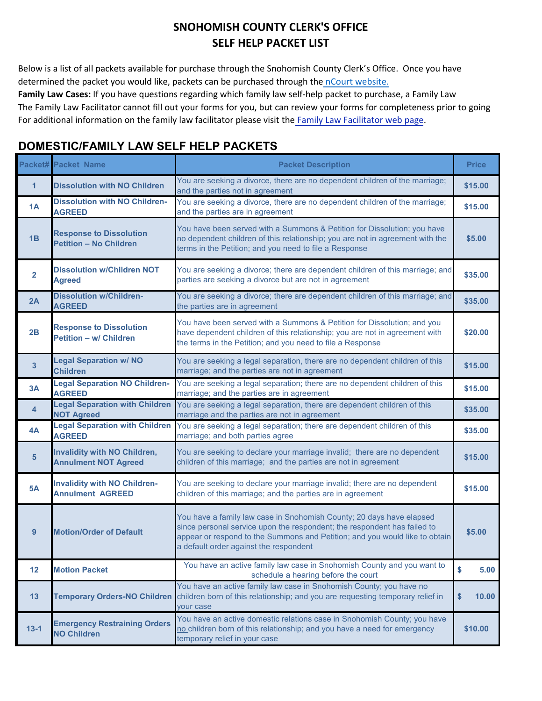[Below is](https://gcc02.safelinks.protection.outlook.com/?url=https%3A%2F%2Fwww.ncourt.com%2Fx-press%2Fx-onlinepayments.aspx%3Fjuris%3D598FA7FD-0BF7-4B60-9A99-0A141E5C6391&data=04%7C01%7CTeri.Bordua%40co.snohomish.wa.us%7Cb17fb3fe3083469f3fe208d96bd706df%7C6bd456aabc074218897c4d0a6a503ee2%7C1%7C0%7C637659393678622495%7CUnknown%7CTWFpbGZsb3d8eyJWIjoiMC4wLjAwMDAiLCJQIjoiV2luMzIiLCJBTiI6Ik1haWwiLCJXVCI6Mn0%3D%7C1000&sdata=fr1UDJqOiUsiBb1EiTZCUExOI0O%2B4QeihrjoOOQlfQ4%3D&reserved=0) a list of all packets available for purchase through the Snohomish County Clerk's Office. Once you have [determined the packet you would like, packets can be purchased through the](https://gcc02.safelinks.protection.outlook.com/?url=https%3A%2F%2Fwww.ncourt.com%2Fx-press%2Fx-onlinepayments.aspx%3Fjuris%3D598FA7FD-0BF7-4B60-9A99-0A141E5C6391&data=04%7C01%7CTeri.Bordua%40co.snohomish.wa.us%7Cb17fb3fe3083469f3fe208d96bd706df%7C6bd456aabc074218897c4d0a6a503ee2%7C1%7C0%7C637659393678622495%7CUnknown%7CTWFpbGZsb3d8eyJWIjoiMC4wLjAwMDAiLCJQIjoiV2luMzIiLCJBTiI6Ik1haWwiLCJXVCI6Mn0%3D%7C1000&sdata=fr1UDJqOiUsiBb1EiTZCUExOI0O%2B4QeihrjoOOQlfQ4%3D&reserved=0) [nCourt website.](https://www.ncourt.com/x-press/x-onlinepayments.aspx?juris=598FA7FD-0BF7-4B60-9A99-0A141E5C6391)

**Family Law Cases:** If you have questions regarding which family law self-help packet to purchase, a Family Law The Family Law Facilitator cannot fill out your forms for you, but can review your forms for completeness prior to going [For additional information on the family law facilitator please visit th](http://www.snohomishcountywa.gov/471/Family-Law-Facilitator)[e Family Law Facilitator](https://www.snohomishcountywa.gov/5540/Courthouse-Facilitator) web page.

### **DOMESTIC/FAMILY LAW SELF HELP PACKETS**

|                | <b>Packet# Packet Name</b>                                         | <b>Packet Description</b>                                                                                                                                                                                                                                                 | <b>Price</b> |
|----------------|--------------------------------------------------------------------|---------------------------------------------------------------------------------------------------------------------------------------------------------------------------------------------------------------------------------------------------------------------------|--------------|
| $\mathbf{1}$   | <b>Dissolution with NO Children</b>                                | You are seeking a divorce, there are no dependent children of the marriage;<br>and the parties not in agreement                                                                                                                                                           | \$15.00      |
| 1A             | <b>Dissolution with NO Children-</b><br><b>AGREED</b>              | You are seeking a divorce, there are no dependent children of the marriage;<br>and the parties are in agreement                                                                                                                                                           | \$15.00      |
| 1B             | <b>Response to Dissolution</b><br><b>Petition - No Children</b>    | You have been served with a Summons & Petition for Dissolution; you have<br>no dependent children of this relationship; you are not in agreement with the<br>terms in the Petition; and you need to file a Response                                                       | \$5.00       |
| $\overline{2}$ | <b>Dissolution w/Children NOT</b><br><b>Agreed</b>                 | You are seeking a divorce; there are dependent children of this marriage; and<br>parties are seeking a divorce but are not in agreement                                                                                                                                   | \$35.00      |
| 2A             | <b>Dissolution w/Children-</b><br><b>AGREED</b>                    | You are seeking a divorce; there are dependent children of this marriage; and<br>the parties are in agreement                                                                                                                                                             | \$35.00      |
| 2B             | <b>Response to Dissolution</b><br><b>Petition - w/ Children</b>    | You have been served with a Summons & Petition for Dissolution; and you<br>have dependent children of this relationship; you are not in agreement with<br>the terms in the Petition; and you need to file a Response                                                      | \$20.00      |
| $\mathbf{3}$   | <b>Legal Separation w/ NO</b><br><b>Children</b>                   | You are seeking a legal separation, there are no dependent children of this<br>marriage; and the parties are not in agreement                                                                                                                                             | \$15.00      |
| 3A             | <b>Legal Separation NO Children-</b><br><b>AGREED</b>              | You are seeking a legal separation; there are no dependent children of this<br>marriage; and the parties are in agreement                                                                                                                                                 | \$15.00      |
| $\overline{4}$ | <b>Legal Separation with Children</b><br><b>NOT Agreed</b>         | You are seeking a legal separation, there are dependent children of this<br>marriage and the parties are not in agreement                                                                                                                                                 | \$35.00      |
| 4A             | <b>Legal Separation with Children</b><br><b>AGREED</b>             | You are seeking a legal separation; there are dependent children of this<br>marriage; and both parties agree                                                                                                                                                              | \$35.00      |
| $5\phantom{1}$ | <b>Invalidity with NO Children,</b><br><b>Annulment NOT Agreed</b> | You are seeking to declare your marriage invalid; there are no dependent<br>children of this marriage; and the parties are not in agreement                                                                                                                               | \$15.00      |
| <b>5A</b>      | <b>Invalidity with NO Children-</b><br><b>Annulment AGREED</b>     | You are seeking to declare your marriage invalid; there are no dependent<br>children of this marriage; and the parties are in agreement                                                                                                                                   | \$15.00      |
| 9              | <b>Motion/Order of Default</b>                                     | You have a family law case in Snohomish County; 20 days have elapsed<br>since personal service upon the respondent; the respondent has failed to<br>appear or respond to the Summons and Petition; and you would like to obtain<br>a default order against the respondent | \$5.00       |
| 12             | <b>Motion Packet</b>                                               | You have an active family law case in Snohomish County and you want to<br>schedule a hearing before the court                                                                                                                                                             | \$<br>5.00   |
| 13             | <b>Temporary Orders-NO Children</b>                                | You have an active family law case in Snohomish County; you have no<br>children born of this relationship; and you are requesting temporary relief in<br><b>your case</b>                                                                                                 | 10.00<br>\$  |
| $13 - 1$       | <b>Emergency Restraining Orders</b><br><b>NO Children</b>          | You have an active domestic relations case in Snohomish County; you have<br>no children born of this relationship; and you have a need for emergency<br>temporary relief in your case                                                                                     | \$10.00      |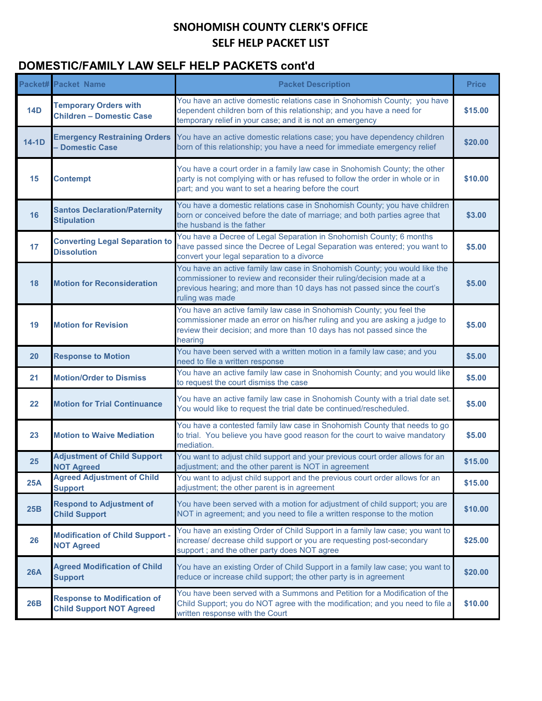# **DOMESTIC/FAMILY LAW SELF HELP PACKETS cont'd**

|            | <b>Packet# Packet Name</b>                                            | <b>Packet Description</b>                                                                                                                                                                                                                          | <b>Price</b> |
|------------|-----------------------------------------------------------------------|----------------------------------------------------------------------------------------------------------------------------------------------------------------------------------------------------------------------------------------------------|--------------|
| <b>14D</b> | <b>Temporary Orders with</b><br><b>Children - Domestic Case</b>       | You have an active domestic relations case in Snohomish County; you have<br>dependent children born of this relationship; and you have a need for<br>temporary relief in your case; and it is not an emergency                                     | \$15.00      |
| $14-1D$    | <b>Emergency Restraining Orders</b><br><b>Domestic Case</b>           | You have an active domestic relations case; you have dependency children<br>born of this relationship; you have a need for immediate emergency relief                                                                                              | \$20.00      |
| 15         | <b>Contempt</b>                                                       | You have a court order in a family law case in Snohomish County; the other<br>party is not complying with or has refused to follow the order in whole or in<br>part; and you want to set a hearing before the court                                | \$10.00      |
| 16         | <b>Santos Declaration/Paternity</b><br><b>Stipulation</b>             | You have a domestic relations case in Snohomish County; you have children<br>born or conceived before the date of marriage; and both parties agree that<br>the husband is the father                                                               | \$3.00       |
| 17         | <b>Converting Legal Separation to</b><br><b>Dissolution</b>           | You have a Decree of Legal Separation in Snohomish County; 6 months<br>have passed since the Decree of Legal Separation was entered; you want to<br>convert your legal separation to a divorce                                                     | \$5.00       |
| 18         | <b>Motion for Reconsideration</b>                                     | You have an active family law case in Snohomish County; you would like the<br>commissioner to review and reconsider their ruling/decision made at a<br>previous hearing; and more than 10 days has not passed since the court's<br>ruling was made | \$5.00       |
| 19         | <b>Motion for Revision</b>                                            | You have an active family law case in Snohomish County; you feel the<br>commissioner made an error on his/her ruling and you are asking a judge to<br>review their decision; and more than 10 days has not passed since the<br>hearing             | \$5.00       |
| 20         | <b>Response to Motion</b>                                             | You have been served with a written motion in a family law case; and you<br>need to file a written response                                                                                                                                        | \$5.00       |
| 21         | <b>Motion/Order to Dismiss</b>                                        | You have an active family law case in Snohomish County; and you would like<br>to request the court dismiss the case                                                                                                                                | \$5.00       |
| 22         | <b>Motion for Trial Continuance</b>                                   | You have an active family law case in Snohomish County with a trial date set.<br>You would like to request the trial date be continued/rescheduled.                                                                                                | \$5.00       |
| 23         | <b>Motion to Waive Mediation</b>                                      | You have a contested family law case in Snohomish County that needs to go<br>to trial. You believe you have good reason for the court to waive mandatory<br>mediation.                                                                             | \$5.00       |
| 25         | <b>Adjustment of Child Support</b><br><b>NOT Agreed</b>               | You want to adjust child support and your previous court order allows for an<br>adjustment; and the other parent is NOT in agreement                                                                                                               | \$15.00      |
| 25A        | <b>Agreed Adjustment of Child</b><br><b>Support</b>                   | You want to adjust child support and the previous court order allows for an<br>adjustment; the other parent is in agreement                                                                                                                        | \$15.00      |
| 25B        | <b>Respond to Adjustment of</b><br><b>Child Support</b>               | You have been served with a motion for adjustment of child support; you are<br>NOT in agreement; and you need to file a written response to the motion                                                                                             | \$10.00      |
| 26         | <b>Modification of Child Support -</b><br><b>NOT Agreed</b>           | You have an existing Order of Child Support in a family law case; you want to<br>increase/ decrease child support or you are requesting post-secondary<br>support ; and the other party does NOT agree                                             | \$25.00      |
| <b>26A</b> | <b>Agreed Modification of Child</b><br><b>Support</b>                 | You have an existing Order of Child Support in a family law case; you want to<br>reduce or increase child support; the other party is in agreement                                                                                                 | \$20.00      |
| 26B        | <b>Response to Modification of</b><br><b>Child Support NOT Agreed</b> | You have been served with a Summons and Petition for a Modification of the<br>Child Support; you do NOT agree with the modification; and you need to file a<br>written response with the Court                                                     | \$10.00      |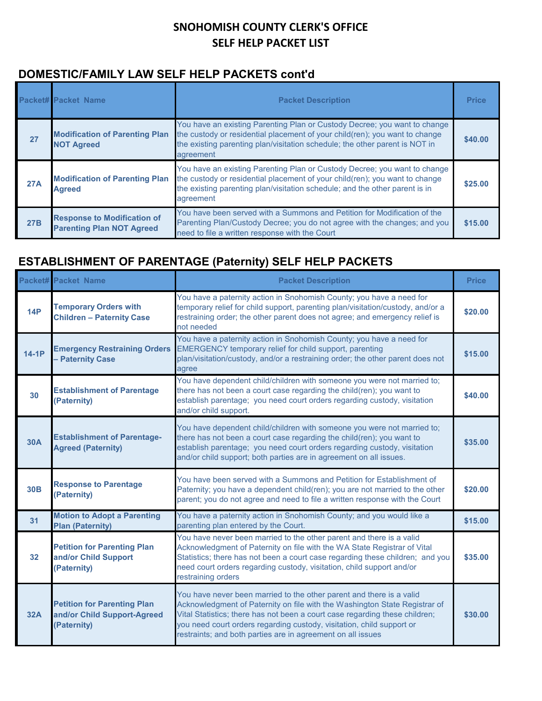#### **DOMESTIC/FAMILY LAW SELF HELP PACKETS cont'd**

|            | <b>Packet# Packet Name</b>                                             | <b>Packet Description</b>                                                                                                                                                                                                                            | <b>Price</b> |
|------------|------------------------------------------------------------------------|------------------------------------------------------------------------------------------------------------------------------------------------------------------------------------------------------------------------------------------------------|--------------|
| 27         | <b>Modification of Parenting Plan</b><br><b>NOT Agreed</b>             | You have an existing Parenting Plan or Custody Decree; you want to change<br>the custody or residential placement of your child(ren); you want to change<br>the existing parenting plan/visitation schedule; the other parent is NOT in<br>agreement | \$40.00      |
| 27A        | <b>Modification of Parenting Plan</b><br><b>Agreed</b>                 | You have an existing Parenting Plan or Custody Decree; you want to change<br>the custody or residential placement of your child(ren); you want to change<br>the existing parenting plan/visitation schedule; and the other parent is in<br>agreement | \$25.00      |
| <b>27B</b> | <b>Response to Modification of</b><br><b>Parenting Plan NOT Agreed</b> | You have been served with a Summons and Petition for Modification of the<br>Parenting Plan/Custody Decree; you do not agree with the changes; and you<br>need to file a written response with the Court                                              | \$15.00      |

## **ESTABLISHMENT OF PARENTAGE (Paternity) SELF HELP PACKETS**

|            | <b>Packet# Packet Name</b>                                                       | <b>Packet Description</b>                                                                                                                                                                                                                                                                                                                                                 | <b>Price</b> |
|------------|----------------------------------------------------------------------------------|---------------------------------------------------------------------------------------------------------------------------------------------------------------------------------------------------------------------------------------------------------------------------------------------------------------------------------------------------------------------------|--------------|
| <b>14P</b> | <b>Temporary Orders with</b><br><b>Children - Paternity Case</b>                 | You have a paternity action in Snohomish County; you have a need for<br>temporary relief for child support, parenting plan/visitation/custody, and/or a<br>restraining order; the other parent does not agree; and emergency relief is<br>not needed                                                                                                                      | \$20.00      |
| $14-1P$    | <b>Emergency Restraining Orders</b><br><b>Paternity Case</b>                     | You have a paternity action in Snohomish County; you have a need for<br><b>EMERGENCY temporary relief for child support, parenting</b><br>plan/visitation/custody, and/or a restraining order; the other parent does not<br>agree                                                                                                                                         | \$15.00      |
| 30         | <b>Establishment of Parentage</b><br>(Paternity)                                 | You have dependent child/children with someone you were not married to;<br>there has not been a court case regarding the child(ren); you want to<br>establish parentage; you need court orders regarding custody, visitation<br>and/or child support.                                                                                                                     | \$40.00      |
| <b>30A</b> | <b>Establishment of Parentage-</b><br><b>Agreed (Paternity)</b>                  | You have dependent child/children with someone you were not married to;<br>there has not been a court case regarding the child(ren); you want to<br>establish parentage; you need court orders regarding custody, visitation<br>and/or child support; both parties are in agreement on all issues.                                                                        | \$35.00      |
| <b>30B</b> | <b>Response to Parentage</b><br>(Paternity)                                      | You have been served with a Summons and Petition for Establishment of<br>Paternity; you have a dependent child(ren); you are not married to the other<br>parent; you do not agree and need to file a written response with the Court                                                                                                                                      | \$20.00      |
| 31         | <b>Motion to Adopt a Parenting</b><br><b>Plan (Paternity)</b>                    | You have a paternity action in Snohomish County; and you would like a<br>parenting plan entered by the Court.                                                                                                                                                                                                                                                             | \$15.00      |
| 32         | <b>Petition for Parenting Plan</b><br>and/or Child Support<br>(Paternity)        | You have never been married to the other parent and there is a valid<br>Acknowledgment of Paternity on file with the WA State Registrar of Vital<br>Statistics; there has not been a court case regarding these children; and you<br>need court orders regarding custody, visitation, child support and/or<br>restraining orders                                          | \$35.00      |
| <b>32A</b> | <b>Petition for Parenting Plan</b><br>and/or Child Support-Agreed<br>(Paternity) | You have never been married to the other parent and there is a valid<br>Acknowledgment of Paternity on file with the Washington State Registrar of<br>Vital Statistics; there has not been a court case regarding these children;<br>you need court orders regarding custody, visitation, child support or<br>restraints; and both parties are in agreement on all issues | \$30.00      |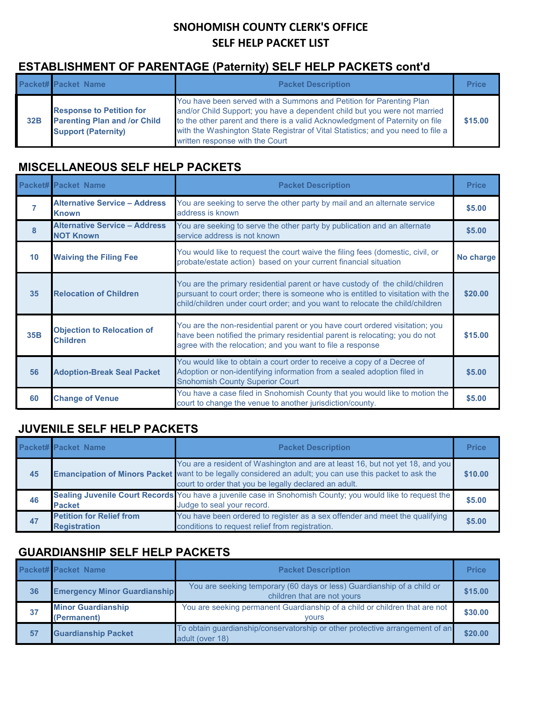# **ESTABLISHMENT OF PARENTAGE (Paternity) SELF HELP PACKETS cont'd**

|     | <b>Packet# Packet Name</b>                                                                           | <b>Packet Description</b>                                                                                                                                                                                                                                                                                                                              | <b>Price</b> |
|-----|------------------------------------------------------------------------------------------------------|--------------------------------------------------------------------------------------------------------------------------------------------------------------------------------------------------------------------------------------------------------------------------------------------------------------------------------------------------------|--------------|
| 32B | <b>Response to Petition for</b><br><b>Parenting Plan and /or Child</b><br><b>Support (Paternity)</b> | You have been served with a Summons and Petition for Parenting Plan<br>and/or Child Support; you have a dependent child but you were not married<br>to the other parent and there is a valid Acknowledgment of Paternity on file<br>with the Washington State Registrar of Vital Statistics; and you need to file a<br>written response with the Court | \$15.00      |

#### **MISCELLANEOUS SELF HELP PACKETS**

|              | <b>Packet# Packet Name</b>                               | <b>Packet Description</b>                                                                                                                                                                                                                         | <b>Price</b> |
|--------------|----------------------------------------------------------|---------------------------------------------------------------------------------------------------------------------------------------------------------------------------------------------------------------------------------------------------|--------------|
|              | <b>Alternative Service - Address</b><br>Known            | You are seeking to serve the other party by mail and an alternate service<br>address is known                                                                                                                                                     | \$5.00       |
| $\mathbf{8}$ | <b>Alternative Service - Address</b><br><b>NOT Known</b> | You are seeking to serve the other party by publication and an alternate<br>service address is not known                                                                                                                                          | \$5.00       |
| 10           | <b>Waiving the Filing Fee</b>                            | You would like to request the court waive the filing fees (domestic, civil, or<br>probate/estate action) based on your current financial situation                                                                                                | No charge    |
| 35           | <b>Relocation of Children</b>                            | You are the primary residential parent or have custody of the child/children<br>pursuant to court order; there is someone who is entitled to visitation with the<br>child/children under court order; and you want to relocate the child/children | \$20.00      |
| <b>35B</b>   | <b>Objection to Relocation of</b><br><b>Children</b>     | You are the non-residential parent or you have court ordered visitation; you<br>have been notified the primary residential parent is relocating; you do not<br>agree with the relocation; and you want to file a response                         | \$15.00      |
| 56           | <b>Adoption-Break Seal Packet</b>                        | You would like to obtain a court order to receive a copy of a Decree of<br>Adoption or non-identifying information from a sealed adoption filed in<br><b>Snohomish County Superior Court</b>                                                      | \$5.00       |
| 60           | <b>Change of Venue</b>                                   | You have a case filed in Snohomish County that you would like to motion the<br>court to change the venue to another jurisdiction/county.                                                                                                          | \$5.00       |

### **JUVENILE SELF HELP PACKETS**

|    | <b>Packet# Packet Name</b>                             | <b>Packet Description</b>                                                                                                                                                                                                                          | <b>Price</b> |
|----|--------------------------------------------------------|----------------------------------------------------------------------------------------------------------------------------------------------------------------------------------------------------------------------------------------------------|--------------|
| 45 |                                                        | You are a resident of Washington and are at least 16, but not yet 18, and you<br>Emancipation of Minors Packet want to be legally considered an adult; you can use this packet to ask the<br>court to order that you be legally declared an adult. | \$10.00      |
| 46 | <b>Packet</b>                                          | Sealing Juvenile Court Records You have a juvenile case in Snohomish County; you would like to request the<br>Judge to seal your record.                                                                                                           | \$5.00       |
| 47 | <b>Petition for Relief from</b><br><b>Registration</b> | You have been ordered to register as a sex offender and meet the qualifying<br>conditions to request relief from registration.                                                                                                                     | \$5.00       |

### **GUARDIANSHIP SELF HELP PACKETS**

|    | <b>Packet# Packet Name</b>               | <b>Packet Description</b>                                                                             | <b>Price</b> |
|----|------------------------------------------|-------------------------------------------------------------------------------------------------------|--------------|
| 36 | <b>Emergency Minor Guardianship</b>      | You are seeking temporary (60 days or less) Guardianship of a child or<br>children that are not yours | \$15.00      |
| 37 | <b>Minor Guardianship</b><br>(Permanent) | You are seeking permanent Guardianship of a child or children that are not<br><b>vours</b>            | \$30.00      |
| 57 | <b>Guardianship Packet</b>               | To obtain quardianship/conservatorship or other protective arrangement of an<br>adult (over 18)       | \$20.00      |